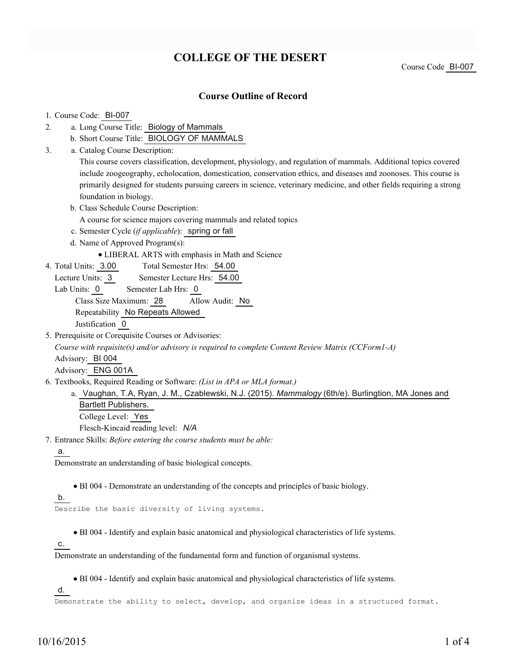# **COLLEGE OF THE DESERT**

Course Code BI-007

### **Course Outline of Record**

#### 1. Course Code: BI-007

- a. Long Course Title: Biology of Mammals 2.
	- b. Short Course Title: BIOLOGY OF MAMMALS
- Catalog Course Description: a. 3.

This course covers classification, development, physiology, and regulation of mammals. Additional topics covered include zoogeography, echolocation, domestication, conservation ethics, and diseases and zoonoses. This course is primarily designed for students pursuing careers in science, veterinary medicine, and other fields requiring a strong foundation in biology.

- b. Class Schedule Course Description:
	- A course for science majors covering mammals and related topics
- c. Semester Cycle (*if applicable*): spring or fall
- d. Name of Approved Program(s):
	- LIBERAL ARTS with emphasis in Math and Science
- Total Semester Hrs: 54.00 4. Total Units: 3.00
	- Lecture Units: 3 Semester Lecture Hrs: 54.00
	- Lab Units: 0 Semester Lab Hrs: 0

Class Size Maximum: 28 Allow Audit: No

Repeatability No Repeats Allowed

Justification 0

5. Prerequisite or Corequisite Courses or Advisories:

*Course with requisite(s) and/or advisory is required to complete Content Review Matrix (CCForm1-A)*

Advisory: BI 004

Advisory: ENG 001A

Textbooks, Required Reading or Software: *(List in APA or MLA format.)* 6.

a. Vaughan, T.A, Ryan, J. M., Czablewski, N.J. (2015). *Mammalogy* (6th/e). Burlingtion, MA Jones and Bartlett Publishers. College Level: Yes

Flesch-Kincaid reading level: *N/A*

Entrance Skills: *Before entering the course students must be able:* 7.

a.

Demonstrate an understanding of basic biological concepts.

BI 004 - Demonstrate an understanding of the concepts and principles of basic biology.

b.

Describe the basic diversity of living systems.

BI 004 - Identify and explain basic anatomical and physiological characteristics of life systems.

c.

Demonstrate an understanding of the fundamental form and function of organismal systems.

BI 004 - Identify and explain basic anatomical and physiological characteristics of life systems.

d.

Demonstrate the ability to select, develop, and organize ideas in a structured format.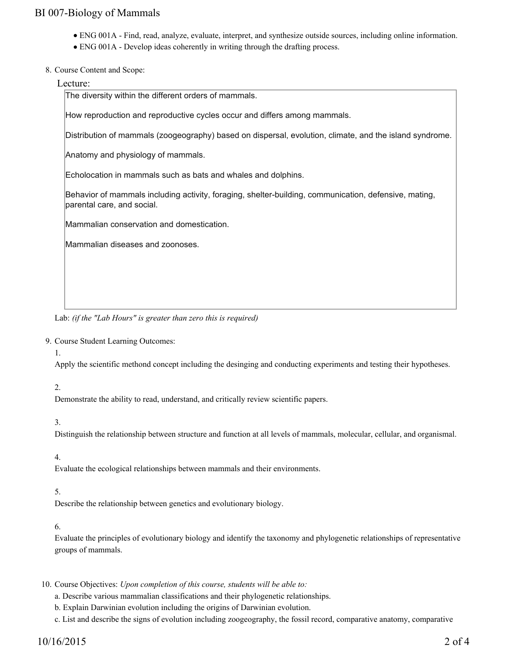## BI 007-Biology of Mammals

- ENG 001A Find, read, analyze, evaluate, interpret, and synthesize outside sources, including online information.
- ENG 001A Develop ideas coherently in writing through the drafting process.
- 8. Course Content and Scope:

#### Lecture:

The diversity within the different orders of mammals.

How reproduction and reproductive cycles occur and differs among mammals.

Distribution of mammals (zoogeography) based on dispersal, evolution, climate, and the island syndrome.

Anatomy and physiology of mammals.

Echolocation in mammals such as bats and whales and dolphins.

Behavior of mammals including activity, foraging, shelter-building, communication, defensive, mating, parental care, and social.

Mammalian conservation and domestication.

Mammalian diseases and zoonoses.

Lab: *(if the "Lab Hours" is greater than zero this is required)*

9. Course Student Learning Outcomes:

1.

Apply the scientific methond concept including the desinging and conducting experiments and testing their hypotheses.

### 2.

Demonstrate the ability to read, understand, and critically review scientific papers.

#### 3.

Distinguish the relationship between structure and function at all levels of mammals, molecular, cellular, and organismal.

### 4.

Evaluate the ecological relationships between mammals and their environments.

### 5.

Describe the relationship between genetics and evolutionary biology.

#### 6.

Evaluate the principles of evolutionary biology and identify the taxonomy and phylogenetic relationships of representative groups of mammals.

10. Course Objectives: Upon completion of this course, students will be able to:

- a. Describe various mammalian classifications and their phylogenetic relationships.
- b. Explain Darwinian evolution including the origins of Darwinian evolution.

c. List and describe the signs of evolution including zoogeography, the fossil record, comparative anatomy, comparative

## 10/16/2015 2 of 4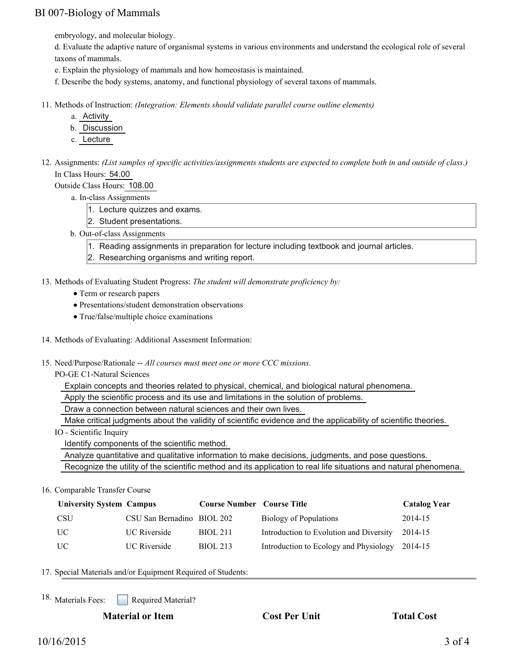## BI 007-Biology of Mammals

embryology, and molecular biology.

d. Evaluate the adaptive nature of organismal systems in various environments and understand the ecological role of several taxons of mammals.

e. Explain the physiology of mammals and how homeostasis is maintained.

f. Describe the body systems, anatomy, and functional physiology of several taxons of mammals.

- 11. Methods of Instruction: *(Integration: Elements should validate parallel course outline elements)* 
	- a. Activity
	- b. Discussion
	- c. Lecture
- 12. Assignments: (List samples of specific activities/assignments students are expected to complete both in and outside of class.) In Class Hours: 54.00

Outside Class Hours: 108.00

- a. In-class Assignments
	- 1. Lecture quizzes and exams.
	- 2. Student presentations.
- b. Out-of-class Assignments
	- 1. Reading assignments in preparation for lecture including textbook and journal articles.
	- 2. Researching organisms and writing report.
- 13. Methods of Evaluating Student Progress: The student will demonstrate proficiency by:
	- Term or research papers
	- Presentations/student demonstration observations
	- True/false/multiple choice examinations
- 14. Methods of Evaluating: Additional Assesment Information:
- 15. Need/Purpose/Rationale -- All courses must meet one or more CCC missions.

PO-GE C1-Natural Sciences

Explain concepts and theories related to physical, chemical, and biological natural phenomena.

Apply the scientific process and its use and limitations in the solution of problems.

Draw a connection between natural sciences and their own lives.

Make critical judgments about the validity of scientific evidence and the applicability of scientific theories.

IO - Scientific Inquiry

Identify components of the scientific method.

 Analyze quantitative and qualitative information to make decisions, judgments, and pose questions. Recognize the utility of the scientific method and its application to real life situations and natural phenomena.

16. Comparable Transfer Course

| <b>University System Campus</b> |                            | <b>Course Number Course Title</b> |                                         | <b>Catalog Year</b> |
|---------------------------------|----------------------------|-----------------------------------|-----------------------------------------|---------------------|
| <b>CSU</b>                      | CSU San Bernadino BIOL 202 |                                   | Biology of Populations                  | 2014-15             |
| UC                              | <b>UC</b> Riverside        | <b>BIOL 211</b>                   | Introduction to Evolution and Diversity | 2014-15             |
| UC                              | <b>UC</b> Riverside        | <b>BIOL 213</b>                   | Introduction to Ecology and Physiology  | 2014-15             |

17. Special Materials and/or Equipment Required of Students:

Required Material? <sup>18.</sup> Materials Fees: